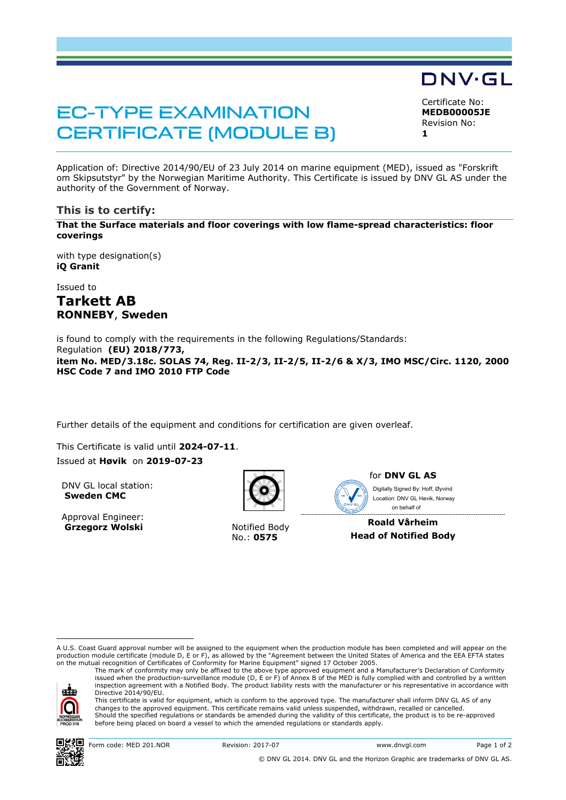# EC-TYPE EXAMINATION CERTIFICATE (MODULE B)

DNV·GL Certificate No:

**MEDB00005JE** Revision No: **1** 

Application of: Directive 2014/90/EU of 23 July 2014 on marine equipment (MED), issued as "Forskrift om Skipsutstyr" by the Norwegian Maritime Authority. This Certificate is issued by DNV GL AS under the authority of the Government of Norway.

## **This is to certify:**

**That the Surface materials and floor coverings with low flame-spread characteristics: floor coverings**

with type designation(s) **iQ Granit**

Issued to

# **Tarkett AB RONNEBY**, **Sweden**

is found to comply with the requirements in the following Regulations/Standards: Regulation **(EU) 2018/773,** 

**item No. MED/3.18c. SOLAS 74, Reg. II-2/3, II-2/5, II-2/6 & X/3, IMO MSC/Circ. 1120, 2000 HSC Code 7 and IMO 2010 FTP Code** 

Further details of the equipment and conditions for certification are given overleaf.

This Certificate is valid until 2024-07-11.

Issued at **Høvik** on **2019-07-23**

DNV GL local station: **Sweden CMC**

Approval Engineer: **Grzegorz Wolski** Notified Body



No.: **0575**



Digitally Signed By: Hoff, Øyvind Location: DNV GL Høvik, Norway on behalf of

**Roald Vårheim Head of Notified Body**

i<br>I A U.S. Coast Guard approval number will be assigned to the equipment when the production module has been completed and will appear on the production module certificate (module D, E or F), as allowed by the "Agreement between the United States of America and the EEA EFTA states on the mutual recognition of Certificates of Conformity for Marine Equipment" signed 17 October 2005.

The mark of conformity may only be affixed to the above type approved equipment and a Manufacturer's Declaration of Conformity issued when the production-surveillance module (D, E or F) of Annex B of the MED is fully complied with and controlled by a written inspection agreement with a Notified Body. The product liability rests with the manufacturer or his representative in accordance with Directive 2014/90/EU.



This certificate is valid for equipment, which is conform to the approved type. The manufacturer shall inform DNV GL AS of any changes to the approved equipment. This certificate remains valid unless suspended, withdrawn, recalled or cancelled. Should the specified regulations or standards be amended during the validity of this certificate, the product is to be re-approved before being placed on board a vessel to which the amended regulations or standards apply.



© DNV GL 2014. DNV GL and the Horizon Graphic are trademarks of DNV GL AS.